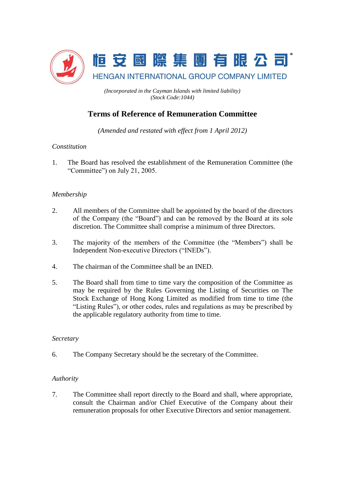

*(Incorporated in the Cayman Islands with limited liability) (Stock Code:1044)*

# **Terms of Reference of Remuneration Committee**

*(Amended and restated with effect from 1 April 2012)*

# *Constitution*

1. The Board has resolved the establishment of the Remuneration Committee (the "Committee") on July 21, 2005.

# *Membership*

- 2. All members of the Committee shall be appointed by the board of the directors of the Company (the "Board") and can be removed by the Board at its sole discretion. The Committee shall comprise a minimum of three Directors.
- 3. The majority of the members of the Committee (the "Members") shall be Independent Non-executive Directors ("INEDs").
- 4. The chairman of the Committee shall be an INED.
- 5. The Board shall from time to time vary the composition of the Committee as may be required by the Rules Governing the Listing of Securities on The Stock Exchange of Hong Kong Limited as modified from time to time (the "Listing Rules"), or other codes, rules and regulations as may be prescribed by the applicable regulatory authority from time to time.

#### *Secretary*

6. The Company Secretary should be the secretary of the Committee.

#### *Authority*

7. The Committee shall report directly to the Board and shall, where appropriate, consult the Chairman and/or Chief Executive of the Company about their remuneration proposals for other Executive Directors and senior management.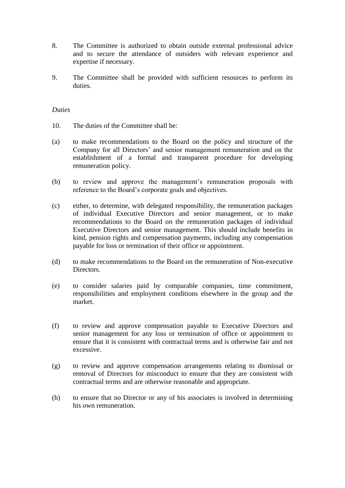- 8. The Committee is authorized to obtain outside external professional advice and to secure the attendance of outsiders with relevant experience and expertise if necessary.
- 9. The Committee shall be provided with sufficient resources to perform its duties.

#### *Duties*

- 10. The duties of the Committee shall be:
- (a) to make recommendations to the Board on the policy and structure of the Company for all Directors' and senior management remuneration and on the establishment of a formal and transparent procedure for developing remuneration policy.
- (b) to review and approve the management's remuneration proposals with reference to the Board's corporate goals and objectives.
- (c) either, to determine, with delegated responsibility, the remuneration packages of individual Executive Directors and senior management, or to make recommendations to the Board on the remuneration packages of individual Executive Directors and senior management. This should include benefits in kind, pension rights and compensation payments, including any compensation payable for loss or termination of their office or appointment.
- (d) to make recommendations to the Board on the remuneration of Non-executive Directors.
- (e) to consider salaries paid by comparable companies, time commitment, responsibilities and employment conditions elsewhere in the group and the market.
- (f) to review and approve compensation payable to Executive Directors and senior management for any loss or termination of office or appointment to ensure that it is consistent with contractual terms and is otherwise fair and not excessive.
- (g) to review and approve compensation arrangements relating to dismissal or removal of Directors for misconduct to ensure that they are consistent with contractual terms and are otherwise reasonable and appropriate.
- (h) to ensure that no Director or any of his associates is involved in determining his own remuneration.